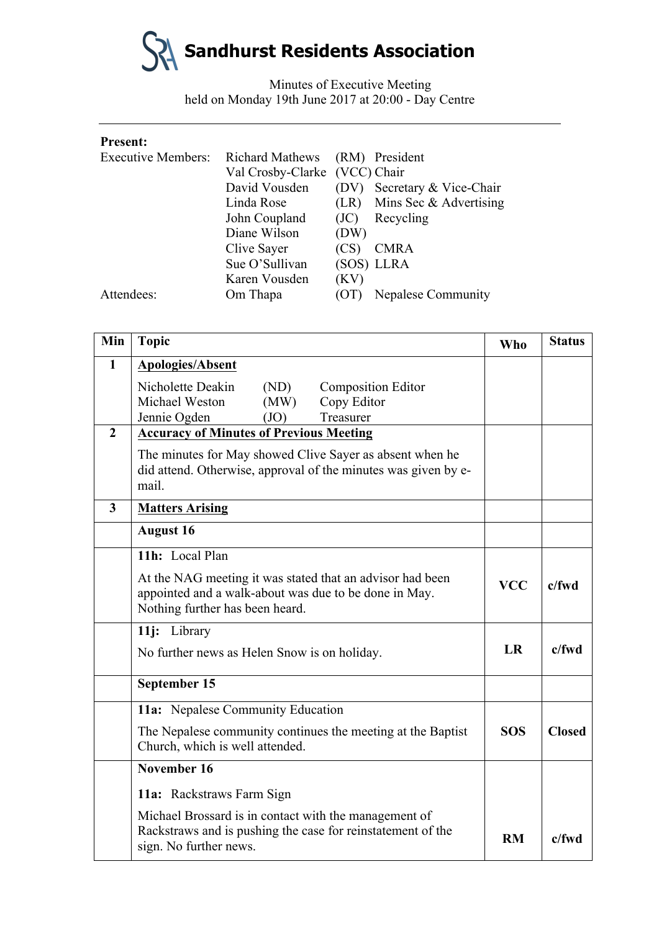

Minutes of Executive Meeting held on Monday 19th June 2017 at 20:00 - Day Centre

| <b>Present:</b>           |                               |      |                        |
|---------------------------|-------------------------------|------|------------------------|
| <b>Executive Members:</b> | <b>Richard Mathews</b>        |      | (RM) President         |
|                           | Val Crosby-Clarke (VCC) Chair |      |                        |
|                           | David Vousden                 | (DV) | Secretary & Vice-Chair |
|                           | Linda Rose                    | (LR) | Mins Sec & Advertising |
|                           | John Coupland                 | (JC) | Recycling              |
|                           | Diane Wilson                  | (DW) |                        |
|                           | Clive Sayer                   | (CS) | <b>CMRA</b>            |
|                           | Sue O'Sullivan                |      | (SOS) LLRA             |
|                           | Karen Vousden                 | (KV) |                        |
| Attendees:                | Om Thapa                      | (OT) | Nepalese Community     |

| Min            | <b>Topic</b>                                                                                                                                          | <b>Who</b> | <b>Status</b> |
|----------------|-------------------------------------------------------------------------------------------------------------------------------------------------------|------------|---------------|
| $\mathbf{1}$   | <b>Apologies/Absent</b>                                                                                                                               |            |               |
|                | Nicholette Deakin<br>(ND)<br><b>Composition Editor</b>                                                                                                |            |               |
|                | Michael Weston<br>(MW)<br>Copy Editor                                                                                                                 |            |               |
|                | Jennie Ogden<br>(JO)<br>Treasurer                                                                                                                     |            |               |
| $\overline{2}$ | <b>Accuracy of Minutes of Previous Meeting</b>                                                                                                        |            |               |
|                | The minutes for May showed Clive Sayer as absent when he<br>did attend. Otherwise, approval of the minutes was given by e-<br>mail.                   |            |               |
| $\mathbf{3}$   | <b>Matters Arising</b>                                                                                                                                |            |               |
|                | <b>August 16</b>                                                                                                                                      |            |               |
|                | 11h: Local Plan                                                                                                                                       |            |               |
|                | At the NAG meeting it was stated that an advisor had been<br>appointed and a walk-about was due to be done in May.<br>Nothing further has been heard. |            | $c$ /fwd      |
|                | 11j: Library                                                                                                                                          |            |               |
|                | No further news as Helen Snow is on holiday.                                                                                                          | <b>LR</b>  | $c$ /fwd      |
|                | September 15                                                                                                                                          |            |               |
|                | 11a: Nepalese Community Education                                                                                                                     |            |               |
|                | The Nepalese community continues the meeting at the Baptist<br>Church, which is well attended.                                                        | <b>SOS</b> | <b>Closed</b> |
|                | November 16                                                                                                                                           |            |               |
|                | 11a: Rackstraws Farm Sign                                                                                                                             |            |               |
|                | Michael Brossard is in contact with the management of<br>Rackstraws and is pushing the case for reinstatement of the<br>sign. No further news.        | <b>RM</b>  | $c$ fwd       |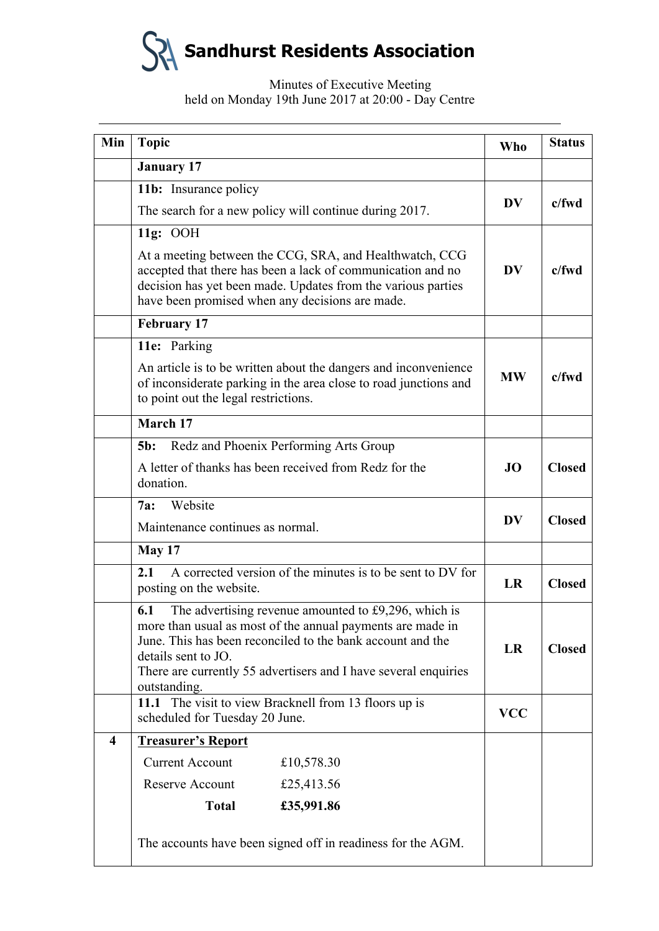**Sandhurst Residents Association**

# Minutes of Executive Meeting held on Monday 19th June 2017 at 20:00 - Day Centre

| Min                     | <b>Topic</b>                                                                                                                                                                                                                                                                                      | <b>Who</b> | <b>Status</b> |
|-------------------------|---------------------------------------------------------------------------------------------------------------------------------------------------------------------------------------------------------------------------------------------------------------------------------------------------|------------|---------------|
|                         | <b>January 17</b>                                                                                                                                                                                                                                                                                 |            |               |
|                         | 11b: Insurance policy                                                                                                                                                                                                                                                                             |            | $c$ /fwd      |
|                         | The search for a new policy will continue during 2017.                                                                                                                                                                                                                                            | <b>DV</b>  |               |
|                         | 11g: OOH                                                                                                                                                                                                                                                                                          |            |               |
|                         | At a meeting between the CCG, SRA, and Healthwatch, CCG<br>accepted that there has been a lack of communication and no<br>decision has yet been made. Updates from the various parties<br>have been promised when any decisions are made.                                                         | <b>DV</b>  | $c$ /fwd      |
|                         | <b>February 17</b>                                                                                                                                                                                                                                                                                |            |               |
|                         | 11e: Parking                                                                                                                                                                                                                                                                                      |            |               |
|                         | An article is to be written about the dangers and inconvenience<br>of inconsiderate parking in the area close to road junctions and<br>to point out the legal restrictions.                                                                                                                       | <b>MW</b>  | $c$ /fwd      |
|                         | March 17                                                                                                                                                                                                                                                                                          |            |               |
|                         | Redz and Phoenix Performing Arts Group<br>$5b$ :                                                                                                                                                                                                                                                  |            |               |
|                         | A letter of thanks has been received from Redz for the<br>donation.                                                                                                                                                                                                                               | <b>JO</b>  | <b>Closed</b> |
|                         | Website<br>7a:                                                                                                                                                                                                                                                                                    | <b>DV</b>  |               |
|                         | Maintenance continues as normal.                                                                                                                                                                                                                                                                  |            | <b>Closed</b> |
|                         | <b>May 17</b>                                                                                                                                                                                                                                                                                     |            |               |
|                         | A corrected version of the minutes is to be sent to DV for<br>2.1<br>posting on the website.                                                                                                                                                                                                      |            | <b>Closed</b> |
|                         | 6.1<br>The advertising revenue amounted to £9,296, which is<br>more than usual as most of the annual payments are made in<br>June. This has been reconciled to the bank account and the<br>details sent to JO.<br>There are currently 55 advertisers and I have several enquiries<br>outstanding. |            | <b>Closed</b> |
|                         | 11.1 The visit to view Bracknell from 13 floors up is<br>scheduled for Tuesday 20 June.                                                                                                                                                                                                           | <b>VCC</b> |               |
| $\overline{\mathbf{4}}$ | <b>Treasurer's Report</b>                                                                                                                                                                                                                                                                         |            |               |
|                         | <b>Current Account</b><br>£10,578.30                                                                                                                                                                                                                                                              |            |               |
|                         | Reserve Account<br>£25,413.56                                                                                                                                                                                                                                                                     |            |               |
|                         | <b>Total</b><br>£35,991.86                                                                                                                                                                                                                                                                        |            |               |
|                         | The accounts have been signed off in readiness for the AGM.                                                                                                                                                                                                                                       |            |               |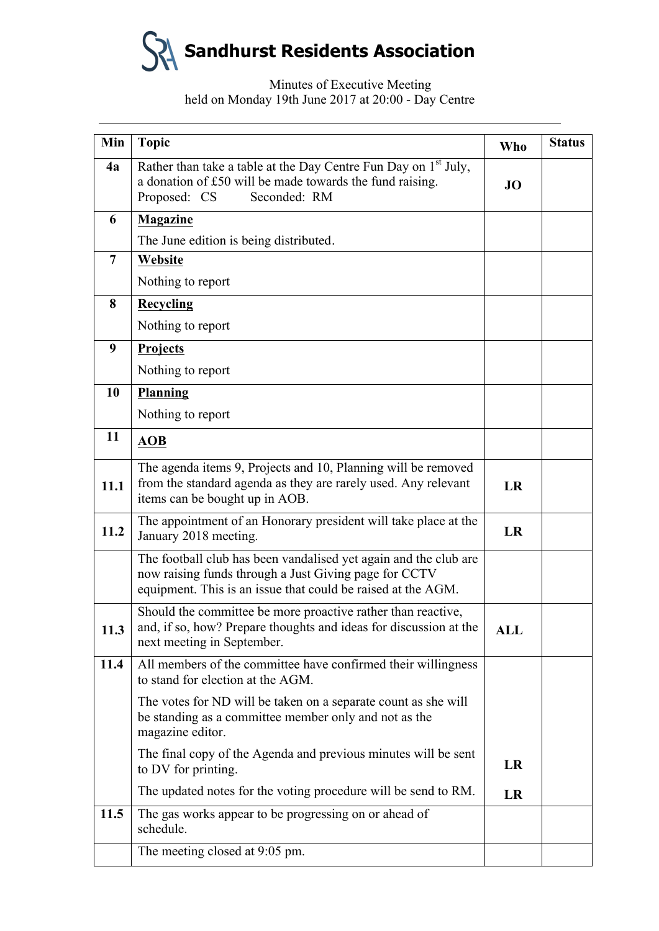

# Minutes of Executive Meeting held on Monday 19th June 2017 at 20:00 - Day Centre

| Min            | <b>Topic</b>                                                                                                                                                                              | <b>Who</b> | <b>Status</b> |
|----------------|-------------------------------------------------------------------------------------------------------------------------------------------------------------------------------------------|------------|---------------|
| 4a             | Rather than take a table at the Day Centre Fun Day on 1 <sup>st</sup> July,<br>a donation of £50 will be made towards the fund raising.<br>Proposed: CS<br>Seconded: RM                   | <b>JO</b>  |               |
| 6              | <b>Magazine</b>                                                                                                                                                                           |            |               |
|                | The June edition is being distributed.                                                                                                                                                    |            |               |
| $\overline{7}$ | Website                                                                                                                                                                                   |            |               |
|                | Nothing to report                                                                                                                                                                         |            |               |
| 8              | <b>Recycling</b>                                                                                                                                                                          |            |               |
|                | Nothing to report                                                                                                                                                                         |            |               |
| 9              | <b>Projects</b>                                                                                                                                                                           |            |               |
|                | Nothing to report                                                                                                                                                                         |            |               |
| 10             | <b>Planning</b>                                                                                                                                                                           |            |               |
|                | Nothing to report                                                                                                                                                                         |            |               |
| 11             | <b>AOB</b>                                                                                                                                                                                |            |               |
| 11.1           | The agenda items 9, Projects and 10, Planning will be removed<br>from the standard agenda as they are rarely used. Any relevant<br>items can be bought up in AOB.                         | <b>LR</b>  |               |
| 11.2           | The appointment of an Honorary president will take place at the<br>January 2018 meeting.                                                                                                  | <b>LR</b>  |               |
|                | The football club has been vandalised yet again and the club are<br>now raising funds through a Just Giving page for CCTV<br>equipment. This is an issue that could be raised at the AGM. |            |               |
| 11.3           | Should the committee be more proactive rather than reactive,<br>and, if so, how? Prepare thoughts and ideas for discussion at the<br>next meeting in September.                           | <b>ALL</b> |               |
| 11.4           | All members of the committee have confirmed their willingness<br>to stand for election at the AGM.                                                                                        |            |               |
|                | The votes for ND will be taken on a separate count as she will<br>be standing as a committee member only and not as the<br>magazine editor.                                               |            |               |
|                | The final copy of the Agenda and previous minutes will be sent<br>to DV for printing.                                                                                                     | LR         |               |
|                | The updated notes for the voting procedure will be send to RM.                                                                                                                            | LR         |               |
| 11.5           | The gas works appear to be progressing on or ahead of<br>schedule.                                                                                                                        |            |               |
|                | The meeting closed at 9:05 pm.                                                                                                                                                            |            |               |